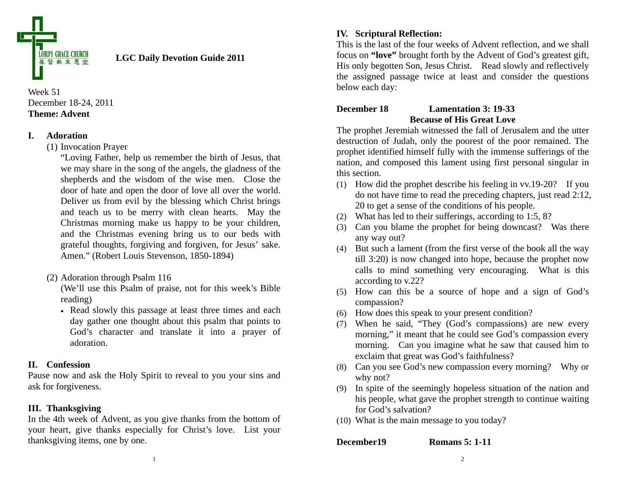

# **LGC Daily Devotion Guide 2011**

## Week 51 December 18-24, 2011 **Theme: Advent**

# **I. Adoration**

## (1) Invocation Prayer

"Loving Father, help us remember the birth of Jesus, that we may share in the song of the angels, the gladness of the shepherds and the wisdom of the wise men. Close the door of hate and open the door of love all over the world. Deliver us from evil by the blessing which Christ brings and teach us to be merry with clean hearts. May the Christmas morning make us happy to be your children, and the Christmas evening bring us to our beds with grateful thoughts, forgiving and forgiven, for Jesus' sake. Amen." (Robert Louis Stevenson, 1850-1894)

(2) Adoration through Psalm 116

(We'll use this Psalm of praise, not for this week's Bible reading)

• Read slowly this passage at least three times and each day gather one thought about this psalm that points to God's character and translate it into a prayer of adoration.

# **II. Confession**

Pause now and ask the Holy Spirit to reveal to you your sins and ask for forgiveness.

# **III. Thanksgiving**

In the 4th week of Advent, as you give thanks from the bottom of your heart, give thanks especially for Christ's love. List your thanksgiving items, one by one.

# **IV. Scriptural Reflection:**

This is the last of the four weeks of Advent reflection, and we shall focus on **"love"** brought forth by the Advent of God's greatest gift, His only begotten Son, Jesus Christ. Read slowly and reflectively the assigned passage twice at least and consider the questions below each day:

# **December 18 Lamentation 3: 19-33 Because of His Great Love**

The prophet Jeremiah witnessed the fall of Jerusalem and the utter destruction of Judah, only the poorest of the poor remained. The prophet identified himself fully with the immense sufferings of the nation, and composed this lament using first personal singular in this section.

- (1) How did the prophet describe his feeling in vv.19-20? If you do not have time to read the preceding chapters, just read 2:12, 20 to get a sense of the conditions of his people.
- (2) What has led to their sufferings, according to 1:5, 8?
- (3) Can you blame the prophet for being downcast? Was there any way out?
- (4) But such a lament (from the first verse of the book all the way till 3:20) is now changed into hope, because the prophet now calls to mind something very encouraging. What is this according to v.22?
- (5) How can this be a source of hope and a sign of God's compassion?
- (6) How does this speak to your present condition?
- (7) When he said, "They (God's compassions) are new every morning," it meant that he could see God's compassion every morning. Can you imagine what he saw that caused him to exclaim that great was God's faithfulness?
- (8) Can you see God's new compassion every morning? Why or why not?
- (9) In spite of the seemingly hopeless situation of the nation and his people, what gave the prophet strength to continue waiting for God's salvation?
- (10) What is the main message to you today?

**December19 Romans 5: 1-11** 

1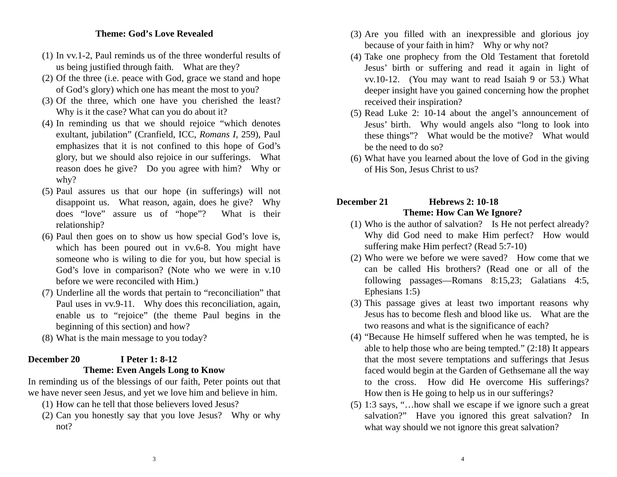#### **Theme: God's Love Revealed**

- (1) In vv.1-2, Paul reminds us of the three wonderful results of us being justified through faith. What are they?
- (2) Of the three (i.e. peace with God, grace we stand and hope of God's glory) which one has meant the most to you?
- (3) Of the three, which one have you cherished the least? Why is it the case? What can you do about it?
- (4) In reminding us that we should rejoice "which denotes exultant, jubilation" (Cranfield, ICC, *Romans I,* 259), Paul emphasizes that it is not confined to this hope of God's glory, but we should also rejoice in our sufferings. What reason does he give? Do you agree with him? Why or why?
- (5) Paul assures us that our hope (in sufferings) will not disappoint us. What reason, again, does he give? Why does "love" assure us of "hope"? What is their relationship?
- (6) Paul then goes on to show us how special God's love is, which has been poured out in vv.6-8. You might have someone who is wiling to die for you, but how special is God's love in comparison? (Note who we were in v.10 before we were reconciled with Him.)
- (7) Underline all the words that pertain to "reconciliation" that Paul uses in vv.9-11. Why does this reconciliation, again, enable us to "rejoice" (the theme Paul begins in the beginning of this section) and how?
- (8) What is the main message to you today?

# **December 20 I Peter 1: 8-12 Theme: Even Angels Long to Know**

In reminding us of the blessings of our faith, Peter points out that we have never seen Jesus, and yet we love him and believe in him.

- (1) How can he tell that those believers loved Jesus?
- (2) Can you honestly say that you love Jesus? Why or why not?
- (3) Are you filled with an inexpressible and glorious joy because of your faith in him? Why or why not?
- (4) Take one prophecy from the Old Testament that foretold Jesus' birth or suffering and read it again in light of vv.10-12. (You may want to read Isaiah 9 or 53.) What deeper insight have you gained concerning how the prophet received their inspiration?
- (5) Read Luke 2: 10-14 about the angel's announcement of Jesus' birth. Why would angels also "long to look into these things"? What would be the motive? What would be the need to do so?
- (6) What have you learned about the love of God in the giving of His Son, Jesus Christ to us?

# **December 21 Hebrews 2: 10-18 Theme: How Can We Ignore?**

- (1) Who is the author of salvation? Is He not perfect already? Why did God need to make Him perfect? How would suffering make Him perfect? (Read 5:7-10)
- (2) Who were we before we were saved? How come that we can be called His brothers? (Read one or all of the following passages—Romans 8:15,23; Galatians 4:5, Ephesians 1:5)
- (3) This passage gives at least two important reasons why Jesus has to become flesh and blood like us. What are the two reasons and what is the significance of each?
- (4) "Because He himself suffered when he was tempted, he is able to help those who are being tempted." (2:18) It appears that the most severe temptations and sufferings that Jesus faced would begin at the Garden of Gethsemane all the way to the cross. How did He overcome His sufferings? How then is He going to help us in our sufferings?
- (5) 1:3 says, "…how shall we escape if we ignore such a great salvation?" Have you ignored this great salvation? In what way should we not ignore this great salvation?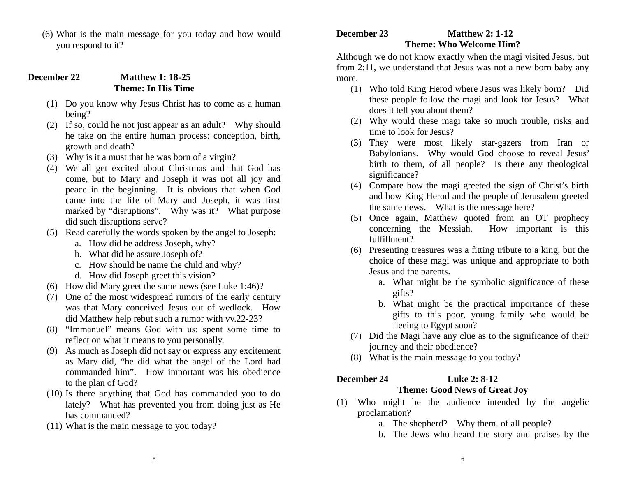(6) What is the main message for you today and how would you respond to it?

#### **December 22 Matthew 1: 18-25 Theme: In His Time**

- (1) Do you know why Jesus Christ has to come as a human being?
- (2) If so, could he not just appear as an adult? Why should he take on the entire human process: conception, birth, growth and death?
- (3) Why is it a must that he was born of a virgin?
- (4) We all get excited about Christmas and that God has come, but to Mary and Joseph it was not all joy and peace in the beginning. It is obvious that when God came into the life of Mary and Joseph, it was first marked by "disruptions". Why was it? What purpose did such disruptions serve?
- (5) Read carefully the words spoken by the angel to Joseph:
	- a. How did he address Joseph, why?
	- b. What did he assure Joseph of?
	- c. How should he name the child and why?
	- d. How did Joseph greet this vision?
- (6) How did Mary greet the same news (see Luke 1:46)?
- (7) One of the most widespread rumors of the early century was that Mary conceived Jesus out of wedlock. How did Matthew help rebut such a rumor with vv.22-23?
- (8) "Immanuel" means God with us: spent some time to reflect on what it means to you personally.
- (9) As much as Joseph did not say or express any excitement as Mary did, "he did what the angel of the Lord had commanded him". How important was his obedience to the plan of God?
- (10) Is there anything that God has commanded you to do lately? What has prevented you from doing just as He has commanded?
- (11) What is the main message to you today?

# **December 23 Matthew 2: 1-12 Theme: Who Welcome Him?**

Although we do not know exactly when the magi visited Jesus, but from 2:11, we understand that Jesus was not a new born baby any more.

- (1) Who told King Herod where Jesus was likely born? Did these people follow the magi and look for Jesus? What does it tell you about them?
- (2) Why would these magi take so much trouble, risks and time to look for Jesus?
- (3) They were most likely star-gazers from Iran or Babylonians. Why would God choose to reveal Jesus' birth to them, of all people? Is there any theological significance?
- (4) Compare how the magi greeted the sign of Christ's birth and how King Herod and the people of Jerusalem greeted the same news. What is the message here?
- (5) Once again, Matthew quoted from an OT prophecy concerning the Messiah. How important is this fulfillment?
- (6) Presenting treasures was a fitting tribute to a king, but the choice of these magi was unique and appropriate to both Jesus and the parents.
	- a. What might be the symbolic significance of these gifts?
	- b. What might be the practical importance of these gifts to this poor, young family who would be fleeing to Egypt soon?
- (7) Did the Magi have any clue as to the significance of their journey and their obedience?
- (8) What is the main message to you today?

# **December 24 Luke 2: 8-12**

# **Theme: Good News of Great Joy**

- (1) Who might be the audience intended by the angelic proclamation?
	- a. The shepherd? Why them. of all people?
	- b. The Jews who heard the story and praises by the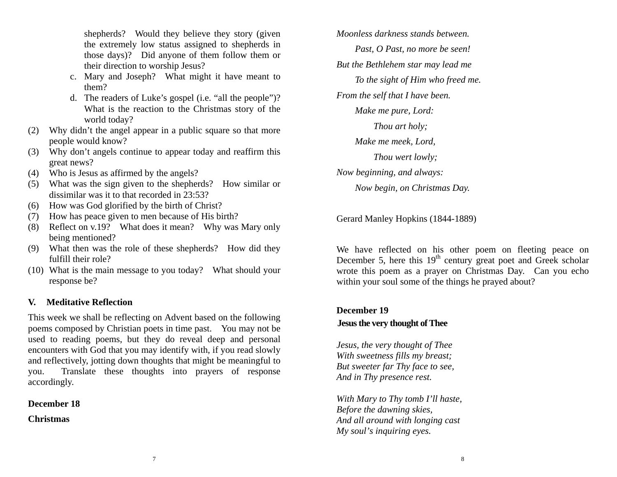shepherds? Would they believe they story (given the extremely low status assigned to shepherds in those days)? Did anyone of them follow them or their direction to worship Jesus?

- c. Mary and Joseph? What might it have meant to them?
- d. The readers of Luke's gospel (i.e. "all the people")? What is the reaction to the Christmas story of the world today?
- (2) Why didn't the angel appear in a public square so that more people would know?
- (3) Why don't angels continue to appear today and reaffirm this great news?
- (4) Who is Jesus as affirmed by the angels?
- (5) What was the sign given to the shepherds? How similar or dissimilar was it to that recorded in 23:53?
- (6) How was God glorified by the birth of Christ?
- (7) How has peace given to men because of His birth?
- (8) Reflect on v.19? What does it mean? Why was Mary only being mentioned?
- (9) What then was the role of these shepherds? How did they fulfill their role?
- (10) What is the main message to you today? What should your response be?

# **V. Meditative Reflection**

This week we shall be reflecting on Advent based on the following poems composed by Christian poets in time past. You may not be used to reading poems, but they do reveal deep and personal encounters with God that you may identify with, if you read slowly and reflectively, jotting down thoughts that might be meaningful to you. Translate these thoughts into prayers of response accordingly.

# **December 18**

**Christmas** 

*Moonless darkness stands between. Past, O Past, no more be seen! But the Bethlehem star may lead me To the sight of Him who freed me. From the self that I have been. Make me pure, Lord: Thou art holy; Make me meek, Lord, Thou wert lowly; Now beginning, and always: Now begin, on Christmas Day.* 

Gerard Manley Hopkins (1844-1889)

We have reflected on his other poem on fleeting peace on December 5, here this  $19<sup>th</sup>$  century great poet and Greek scholar wrote this poem as a prayer on Christmas Day. Can you echo within your soul some of the things he prayed about?

# **December 19**

# **Jesus the very thought of Thee**

*Jesus, the very thought of Thee With sweetness fills my breast; But sweeter far Thy face to see, And in Thy presence rest.* 

*With Mary to Thy tomb I'll haste, Before the dawning skies, And all around with longing cast My soul's inquiring eyes.*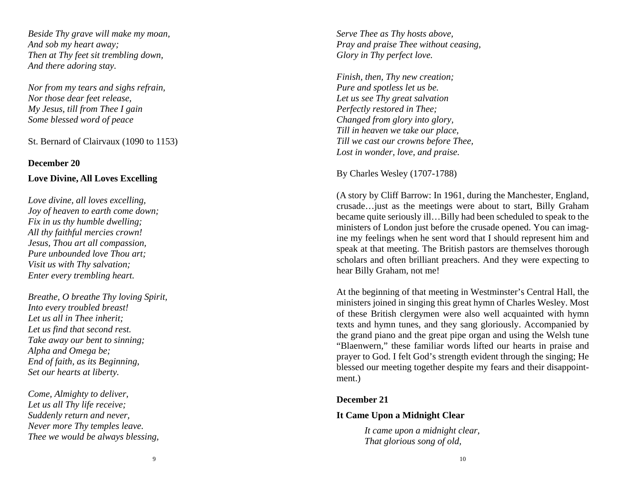*Beside Thy grave will make my moan, And sob my heart away; Then at Thy feet sit trembling down, And there adoring stay.*

*Nor from my tears and sighs refrain, Nor those dear feet release, My Jesus, till from Thee I gain Some blessed word of peace*

St. Bernard of Clairvaux (1090 to 1153)

#### **December 20**

## **Love Divine, All Loves Excelling**

*Love divine, all loves excelling, Joy of heaven to earth come down; Fix in us thy humble dwelling; All thy faithful mercies crown! Jesus, Thou art all compassion, Pure unbounded love Thou art; Visit us with Thy salvation; Enter every trembling heart.* 

*Breathe, O breathe Thy loving Spirit, Into every troubled breast! Let us all in Thee inherit; Let us find that second rest. Take away our bent to sinning; Alpha and Omega be; End of faith, as its Beginning, Set our hearts at liberty.* 

*Come, Almighty to deliver, Let us all Thy life receive; Suddenly return and never, Never more Thy temples leave. Thee we would be always blessing,* 

*Serve Thee as Thy hosts above, Pray and praise Thee without ceasing, Glory in Thy perfect love.* 

*Finish, then, Thy new creation; Pure and spotless let us be. Let us see Thy great salvation Perfectly restored in Thee; Changed from glory into glory, Till in heaven we take our place, Till we cast our crowns before Thee, Lost in wonder, love, and praise.* 

By Charles Wesley (1707-1788)

(A story by Cliff Barrow: In 1961, during the Manchester, England, crusade…just as the meetings were about to start, Billy Graham became quite seriously ill…Billy had been scheduled to speak to the ministers of London just before the crusade opened. You can imagine my feelings when he sent word that I should represent him and speak at that meeting. The British pastors are themselves thorough scholars and often brilliant preachers. And they were expecting to hear Billy Graham, not me!

At the beginning of that meeting in Westminster's Central Hall, the ministers joined in singing this great hymn of Charles Wesley. Most of these British clergymen were also well acquainted with hymn texts and hymn tunes, and they sang gloriously. Accompanied by the grand piano and the great pipe organ and using the Welsh tune "Blaenwern," these familiar words lifted our hearts in praise and prayer to God. I felt God's strength evident through the singing; He blessed our meeting together despite my fears and their disappointment.)

### **December 21**

### **It Came Upon a Midnight Clear**

*It came upon a midnight clear, That glorious song of old,*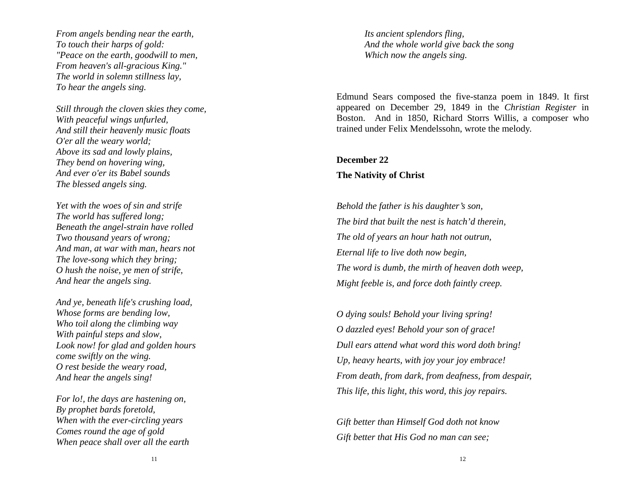*From angels bending near the earth, To touch their harps of gold: "Peace on the earth, goodwill to men, From heaven's all-gracious King." The world in solemn stillness lay, To hear the angels sing.* 

*Still through the cloven skies they come, With peaceful wings unfurled, And still their heavenly music floats O'er all the weary world; Above its sad and lowly plains, They bend on hovering wing, And ever o'er its Babel sounds The blessed angels sing.* 

*Yet with the woes of sin and strife The world has suffered long; Beneath the angel-strain have rolled Two thousand years of wrong; And man, at war with man, hears not The love-song which they bring; O hush the noise, ye men of strife, And hear the angels sing.* 

*And ye, beneath life's crushing load, Whose forms are bending low, Who toil along the climbing way With painful steps and slow, Look now! for glad and golden hours come swiftly on the wing. O rest beside the weary road, And hear the angels sing!* 

*For lo!, the days are hastening on, By prophet bards foretold, When with the ever-circling years Comes round the age of gold When peace shall over all the earth*  *Its ancient splendors fling, And the whole world give back the song Which now the angels sing.* 

Edmund Sears composed the five-stanza poem in 1849. It first appeared on December 29, 1849 in the *Christian Register* in Boston. And in 1850, Richard Storrs Willis, a composer who trained under Felix Mendelssohn, wrote the melody.

#### **December 22**

#### **The Nativity of Christ**

*Behold the father is his daughter's son, The bird that built the nest is hatch'd therein, The old of years an hour hath not outrun, Eternal life to live doth now begin, The word is dumb, the mirth of heaven doth weep, Might feeble is, and force doth faintly creep.* 

*O dying souls! Behold your living spring! O dazzled eyes! Behold your son of grace! Dull ears attend what word this word doth bring! Up, heavy hearts, with joy your joy embrace! From death, from dark, from deafness, from despair, This life, this light, this word, this joy repairs.* 

*Gift better than Himself God doth not know Gift better that His God no man can see;*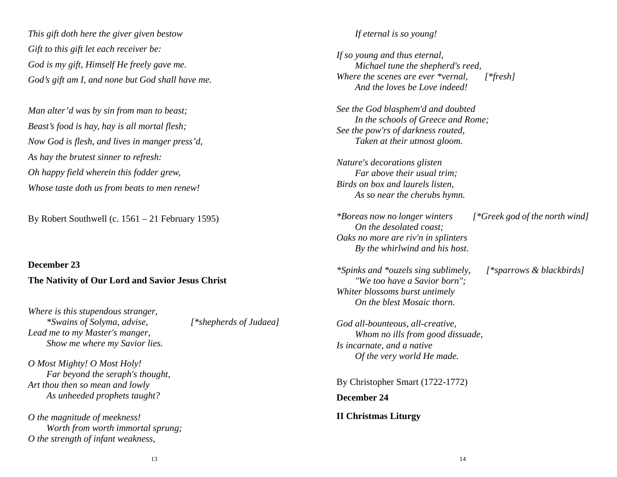*This gift doth here the giver given bestow Gift to this gift let each receiver be: God is my gift, Himself He freely gave me. God's gift am I, and none but God shall have me.* 

*Man alter'd was by sin from man to beast; Beast's food is hay, hay is all mortal flesh; Now God is flesh, and lives in manger press'd, As hay the brutest sinner to refresh: Oh happy field wherein this fodder grew, Whose taste doth us from beats to men renew!*

By Robert Southwell (c. 1561 – 21 February 1595)

**December 23 The Nativity of Our Lord and Savior Jesus Christ** 

*Where is this stupendous stranger, \*Swains of Solyma, advise, [\*shepherds of Judaea] Lead me to my Master's manger, Show me where my Savior lies.* 

*O Most Mighty! O Most Holy! Far beyond the seraph's thought, Art thou then so mean and lowly As unheeded prophets taught?* 

*O the magnitude of meekness! Worth from worth immortal sprung; O the strength of infant weakness,* 

#### *If eternal is so young!*

*If so young and thus eternal, Michael tune the shepherd's reed, Where the scenes are ever \*vernal, [\*fresh] And the loves be Love indeed!* 

*See the God blasphem'd and doubted In the schools of Greece and Rome; See the pow'rs of darkness routed, Taken at their utmost gloom.* 

*Nature's decorations glisten Far above their usual trim; Birds on box and laurels listen, As so near the cherubs hymn.* 

*\*Boreas now no longer winters [\*Greek god of the north wind] On the desolated coast; Oaks no more are riv'n in splinters By the whirlwind and his host.* 

*\*Spinks and \*ouzels sing sublimely, [\*sparrows & blackbirds] "We too have a Savior born"; Whiter blossoms burst untimely On the blest Mosaic thorn.* 

*God all-bounteous, all-creative, Whom no ills from good dissuade, Is incarnate, and a native Of the very world He made.*

By Christopher Smart (1722-1772) **December 24 II Christmas Liturgy**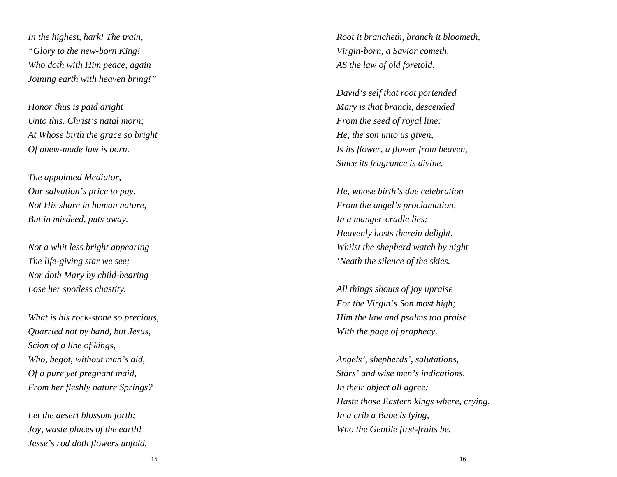*In the highest, hark! The train, "Glory to the new-born King! Who doth with Him peace, again Joining earth with heaven bring!"* 

*Honor thus is paid aright Unto this. Christ's natal morn; At Whose birth the grace so bright Of anew-made law is born.* 

*The appointed Mediator, Our salvation's price to pay. Not His share in human nature, But in misdeed, puts away.* 

*Not a whit less bright appearing The life-giving star we see; Nor doth Mary by child-bearing Lose her spotless chastity.* 

*What is his rock-stone so precious, Quarried not by hand, but Jesus, Scion of a line of kings, Who, begot, without man's aid, Of a pure yet pregnant maid, From her fleshly nature Springs?* 

*Let the desert blossom forth; Joy, waste places of the earth! Jesse's rod doth flowers unfold.*  *Root it brancheth, branch it bloometh, Virgin-born, a Savior cometh, AS the law of old foretold.* 

*David's self that root portended Mary is that branch, descended From the seed of royal line: He, the son unto us given, Is its flower, a flower from heaven, Since its fragrance is divine.* 

*He, whose birth's due celebration From the angel's proclamation, In a manger-cradle lies; Heavenly hosts therein delight, Whilst the shepherd watch by night 'Neath the silence of the skies.* 

*All things shouts of joy upraise For the Virgin's Son most high; Him the law and psalms too praise With the page of prophecy.* 

*Angels', shepherds', salutations, Stars' and wise men's indications, In their object all agree: Haste those Eastern kings where, crying, In a crib a Babe is lying, Who the Gentile first-fruits be.*